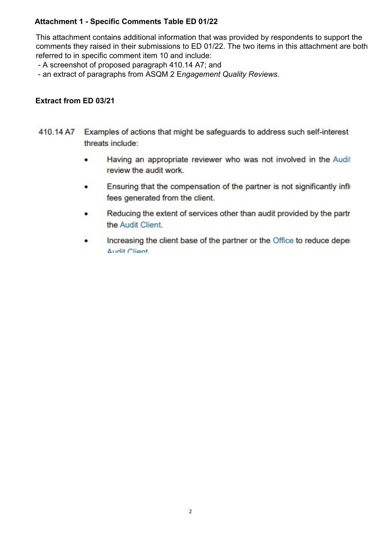# **Attachment 1 - Specific Comments Table ED 01/22**

This attachment contains additional information that was provided by respondents to support the comments they raised in their submissions to ED 01/22. The two items in this attachment are both referred to in specific comment item 10 and include:

- A screenshot of proposed paragraph 410.14 A7; and

- an extract of paragraphs from ASQM 2 E*ngagement Quality Reviews*.

# **Extract from ED 03/21**

- 410.14 A7 Examples of actions that might be safeguards to address such self-interest threats include:
	- Having an appropriate reviewer who was not involved in the Audit  $\bullet$ review the audit work.
	- Ensuring that the compensation of the partner is not significantly infli- $\bullet$ fees generated from the client.
	- Reducing the extent of services other than audit provided by the partr ٠ the Audit Client.
	- Increasing the client base of the partner or the Office to reduce deper ٠ Audit Client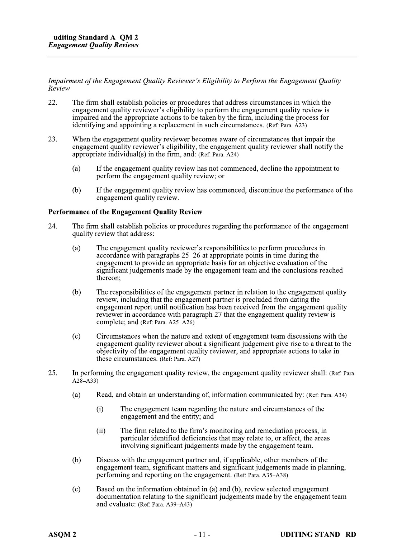Impairment of the Engagement Quality Reviewer's Eligibility to Perform the Engagement Quality Review

- 22. The firm shall establish policies or procedures that address circumstances in which the engagement quality reviewer's eligibility to perform the engagement quality review is impaired and the appropriate actions to be taken by the firm, including the process for identifying and appointing a replacement in such circumstances. (Ref. Para. A23)
- 23. When the engagement quality reviewer becomes aware of circumstances that impair the engagement quality reviewer's eligibility, the engagement quality reviewer shall notify the appropriate individual(s) in the firm, and: (Ref: Para. A24)
	- If the engagement quality review has not commenced, decline the appointment to  $(a)$ perform the engagement quality review; or
	- $(b)$ If the engagement quality review has commenced, discontinue the performance of the engagement quality review.

#### **Performance of the Engagement Quality Review**

- 24. The firm shall establish policies or procedures regarding the performance of the engagement quality review that address:
	- The engagement quality reviewer's responsibilities to perform procedures in  $(a)$ accordance with paragraphs 25–26 at appropriate points in time during the engagement to provide an appropriate basis for an objective evaluation of the significant judgements made by the engagement team and the conclusions reached thereon:
	- $(b)$ The responsibilities of the engagement partner in relation to the engagement quality review, including that the engagement partner is precluded from dating the engagement report until notification has been received from the engagement quality reviewer in accordance with paragraph 27 that the engagement quality review is complete; and (Ref: Para. A25–A26)
	- $(c)$ Circumstances when the nature and extent of engagement team discussions with the engagement quality reviewer about a significant judgement give rise to a threat to the objectivity of the engagement quality reviewer, and appropriate actions to take in these circumstances. (Ref: Para. A27)
- 25. In performing the engagement quality review, the engagement quality reviewer shall: (Ref: Para.  $A28 - A33$ 
	- Read, and obtain an understanding of, information communicated by: (Ref: Para, A34)  $(a)$ 
		- $(i)$ The engagement team regarding the nature and circumstances of the engagement and the entity; and
		- $(ii)$ The firm related to the firm's monitoring and remediation process, in particular identified deficiencies that may relate to, or affect, the areas involving significant judgements made by the engagement team.
	- $(b)$ Discuss with the engagement partner and, if applicable, other members of the engagement team, significant matters and significant judgements made in planning, performing and reporting on the engagement. (Ref: Para. A35–A38)
	- $(c)$ Based on the information obtained in (a) and (b), review selected engagement documentation relating to the significant judgements made by the engagement team and evaluate: (Ref: Para. A39-A43)